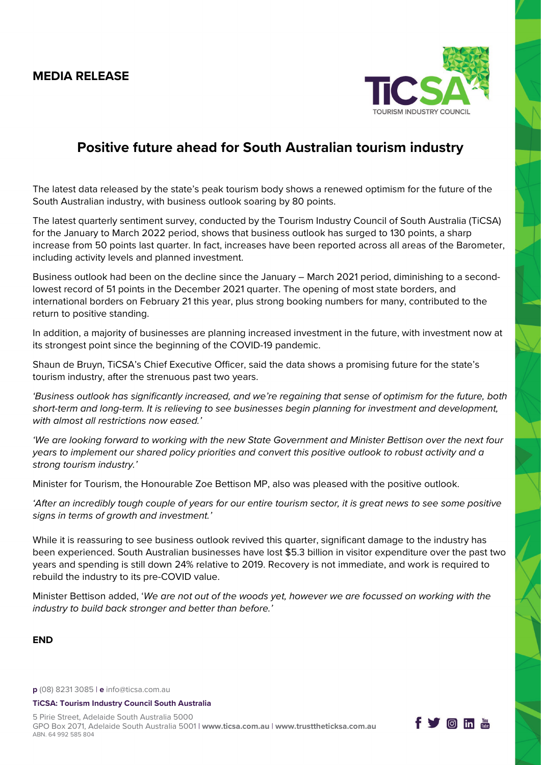## **MEDIA RELEASE**



f Von In

# **Positive future ahead for South Australian tourism industry**

The latest data released by the state's peak tourism body shows a renewed optimism for the future of the South Australian industry, with business outlook soaring by 80 points.

The latest quarterly sentiment survey, conducted by the Tourism Industry Council of South Australia (TiCSA) for the January to March 2022 period, shows that business outlook has surged to 130 points, a sharp increase from 50 points last quarter. In fact, increases have been reported across all areas of the Barometer, including activity levels and planned investment.

Business outlook had been on the decline since the January – March 2021 period, diminishing to a secondlowest record of 51 points in the December 2021 quarter. The opening of most state borders, and international borders on February 21 this year, plus strong booking numbers for many, contributed to the return to positive standing.

In addition, a majority of businesses are planning increased investment in the future, with investment now at its strongest point since the beginning of the COVID-19 pandemic.

Shaun de Bruyn, TiCSA's Chief Executive Officer, said the data shows a promising future for the state's tourism industry, after the strenuous past two years.

*'Business outlook has significantly increased, and we're regaining that sense of optimism for the future, both short-term and long-term. It is relieving to see businesses begin planning for investment and development, with almost all restrictions now eased.'*

*'We are looking forward to working with the new State Government and Minister Bettison over the next four years to implement our shared policy priorities and convert this positive outlook to robust activity and a strong tourism industry.'* 

Minister for Tourism, the Honourable Zoe Bettison MP, also was pleased with the positive outlook.

*'After an incredibly tough couple of years for our entire tourism sector, it is great news to see some positive signs in terms of growth and investment.'*

While it is reassuring to see business outlook revived this quarter, significant damage to the industry has been experienced. South Australian businesses have lost \$5.3 billion in visitor expenditure over the past two years and spending is still down 24% relative to 2019. Recovery is not immediate, and work is required to rebuild the industry to its pre-COVID value.

Minister Bettison added, '*We are not out of the woods yet, however we are focussed on working with the industry to build back stronger and better than before.'*

**END**

**p** (08) 8231 3085 | **e** [info@ticsa.com.au](mailto:info@ticsa.com.au)

#### **TiCSA: Tourism Industry Council South Australia**

5 Pirie Street, Adelaide South Australia 5000 GPO Box 2071, Adelaide South Australia 5001 | **[www.ticsa.com.au](http://www.ticsa.com.au/)** | **[www.trusttheticksa.com.au](http://www.trusttheticksa.com.au/)** ABN. 64 992 585 804